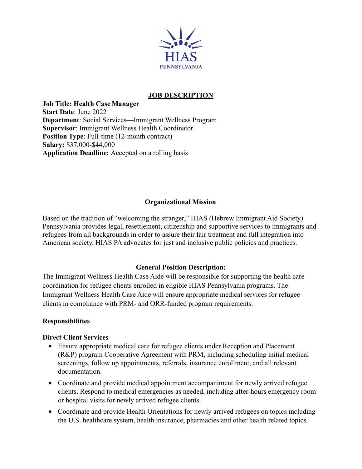

### **JOB DESCRIPTION**

**Job Title: Health Case Manager Start Date**: June 2022 **Department**: Social Services—Immigrant Wellness Program **Supervisor**: Immigrant Wellness Health Coordinator **Position Type**: Full-time (12-month contract) **Salary:** \$37,000-\$44,000 **Application Deadline:** Accepted on a rolling basis

### **Organizational Mission**

Based on the tradition of "welcoming the stranger," HIAS (Hebrew Immigrant Aid Society) Pennsylvania provides legal, resettlement, citizenship and supportive services to immigrants and refugees from all backgrounds in order to assure their fair treatment and full integration into American society. HIAS PA advocates for just and inclusive public policies and practices.

# **General Position Description:**

The Immigrant Wellness Health Case Aide will be responsible for supporting the health care coordination for refugee clients enrolled in eligible HIAS Pennsylvania programs. The Immigrant Wellness Health Case Aide will ensure appropriate medical services for refugee clients in compliance with PRM- and ORR-funded program requirements.

#### **Responsibilities**

#### **Direct Client Services**

- Ensure appropriate medical care for refugee clients under Reception and Placement (R&P) program Cooperative Agreement with PRM, including scheduling initial medical screenings, follow up appointments, referrals, insurance enrollment, and all relevant documentation.
- Coordinate and provide medical appointment accompaniment for newly arrived refugee clients. Respond to medical emergencies as needed, including after-hours emergency room or hospital visits for newly arrived refugee clients.
- Coordinate and provide Health Orientations for newly arrived refugees on topics including the U.S. healthcare system, health insurance, pharmacies and other health related topics.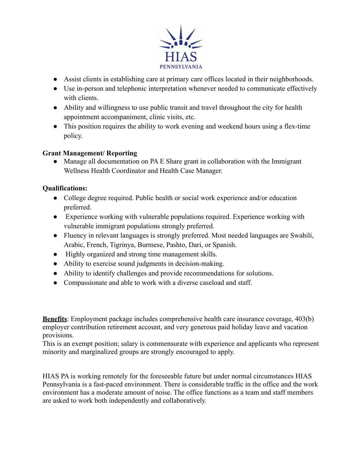

- Assist clients in establishing care at primary care offices located in their neighborhoods.
- Use in-person and telephonic interpretation whenever needed to communicate effectively with clients.
- Ability and willingness to use public transit and travel throughout the city for health appointment accompaniment, clinic visits, etc.
- This position requires the ability to work evening and weekend hours using a flex-time policy.

# **Grant Management/ Reporting**

• Manage all documentation on PA E Share grant in collaboration with the Immigrant Wellness Health Coordinator and Health Case Manager.

# **Qualifications:**

- College degree required. Public health or social work experience and/or education preferred.
- Experience working with vulnerable populations required. Experience working with vulnerable immigrant populations strongly preferred.
- Fluency in relevant languages is strongly preferred. Most needed languages are Swahili, Arabic, French, Tigrinya, Burmese, Pashto, Dari, or Spanish.
- Highly organized and strong time management skills.
- Ability to exercise sound judgments in decision-making.
- Ability to identify challenges and provide recommendations for solutions.
- Compassionate and able to work with a diverse caseload and staff.

**Benefits**: Employment package includes comprehensive health care insurance coverage, 403(b) employer contribution retirement account, and very generous paid holiday leave and vacation provisions.

This is an exempt position; salary is commensurate with experience and applicants who represent minority and marginalized groups are strongly encouraged to apply.

HIAS PA is working remotely for the foreseeable future but under normal circumstances HIAS Pennsylvania is a fast-paced environment. There is considerable traffic in the office and the work environment has a moderate amount of noise. The office functions as a team and staff members are asked to work both independently and collaboratively.